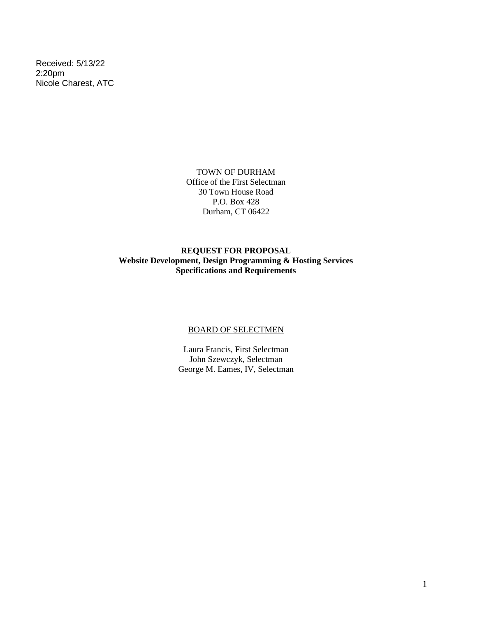Received: 5/13/22 2:20pm Nicole Charest, ATC

> TOWN OF DURHAM Office of the First Selectman 30 Town House Road P.O. Box 428 Durham, CT 06422

# **REQUEST FOR PROPOSAL Website Development, Design Programming & Hosting Services Specifications and Requirements**

#### BOARD OF SELECTMEN

Laura Francis, First Selectman John Szewczyk, Selectman George M. Eames, IV, Selectman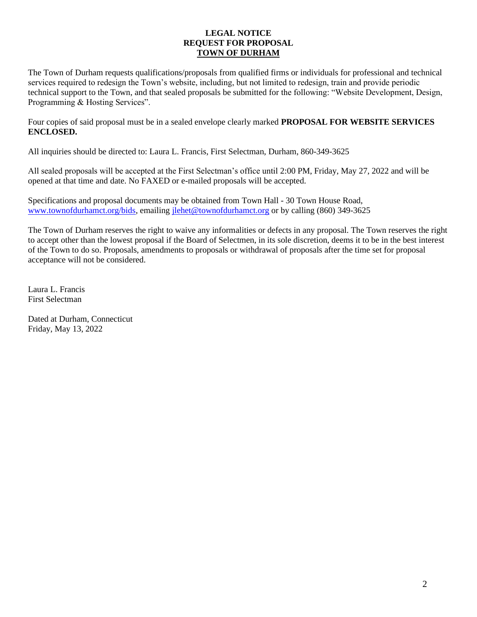#### **LEGAL NOTICE REQUEST FOR PROPOSAL TOWN OF DURHAM**

The Town of Durham requests qualifications/proposals from qualified firms or individuals for professional and technical services required to redesign the Town's website, including, but not limited to redesign, train and provide periodic technical support to the Town, and that sealed proposals be submitted for the following: "Website Development, Design, Programming & Hosting Services".

Four copies of said proposal must be in a sealed envelope clearly marked **PROPOSAL FOR WEBSITE SERVICES ENCLOSED.**

All inquiries should be directed to: Laura L. Francis, First Selectman, Durham, 860-349-3625

All sealed proposals will be accepted at the First Selectman's office until 2:00 PM, Friday, May 27, 2022 and will be opened at that time and date. No FAXED or e-mailed proposals will be accepted.

Specifications and proposal documents may be obtained from Town Hall - 30 Town House Road, [www.townofdurhamct.org/bids,](http://www.townofdurhamct.org/bids) emailing [jlehet@townofdurhamct.org](mailto:jlehet@townofdurhamct.org) or by calling (860) 349-3625

The Town of Durham reserves the right to waive any informalities or defects in any proposal. The Town reserves the right to accept other than the lowest proposal if the Board of Selectmen, in its sole discretion, deems it to be in the best interest of the Town to do so. Proposals, amendments to proposals or withdrawal of proposals after the time set for proposal acceptance will not be considered.

Laura L. Francis First Selectman

Dated at Durham, Connecticut Friday, May 13, 2022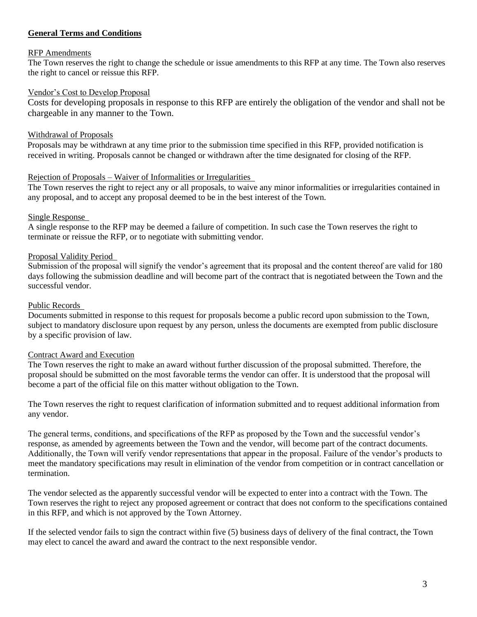# **General Terms and Conditions**

#### RFP Amendments

The Town reserves the right to change the schedule or issue amendments to this RFP at any time. The Town also reserves the right to cancel or reissue this RFP.

#### Vendor's Cost to Develop Proposal

Costs for developing proposals in response to this RFP are entirely the obligation of the vendor and shall not be chargeable in any manner to the Town.

### Withdrawal of Proposals

Proposals may be withdrawn at any time prior to the submission time specified in this RFP, provided notification is received in writing. Proposals cannot be changed or withdrawn after the time designated for closing of the RFP.

### Rejection of Proposals – Waiver of Informalities or Irregularities

The Town reserves the right to reject any or all proposals, to waive any minor informalities or irregularities contained in any proposal, and to accept any proposal deemed to be in the best interest of the Town.

### Single Response

A single response to the RFP may be deemed a failure of competition. In such case the Town reserves the right to terminate or reissue the RFP, or to negotiate with submitting vendor.

### Proposal Validity Period

Submission of the proposal will signify the vendor's agreement that its proposal and the content thereof are valid for 180 days following the submission deadline and will become part of the contract that is negotiated between the Town and the successful vendor.

#### Public Records

Documents submitted in response to this request for proposals become a public record upon submission to the Town, subject to mandatory disclosure upon request by any person, unless the documents are exempted from public disclosure by a specific provision of law.

#### Contract Award and Execution

The Town reserves the right to make an award without further discussion of the proposal submitted. Therefore, the proposal should be submitted on the most favorable terms the vendor can offer. It is understood that the proposal will become a part of the official file on this matter without obligation to the Town.

The Town reserves the right to request clarification of information submitted and to request additional information from any vendor.

The general terms, conditions, and specifications of the RFP as proposed by the Town and the successful vendor's response, as amended by agreements between the Town and the vendor, will become part of the contract documents. Additionally, the Town will verify vendor representations that appear in the proposal. Failure of the vendor's products to meet the mandatory specifications may result in elimination of the vendor from competition or in contract cancellation or termination.

The vendor selected as the apparently successful vendor will be expected to enter into a contract with the Town. The Town reserves the right to reject any proposed agreement or contract that does not conform to the specifications contained in this RFP, and which is not approved by the Town Attorney.

If the selected vendor fails to sign the contract within five (5) business days of delivery of the final contract, the Town may elect to cancel the award and award the contract to the next responsible vendor.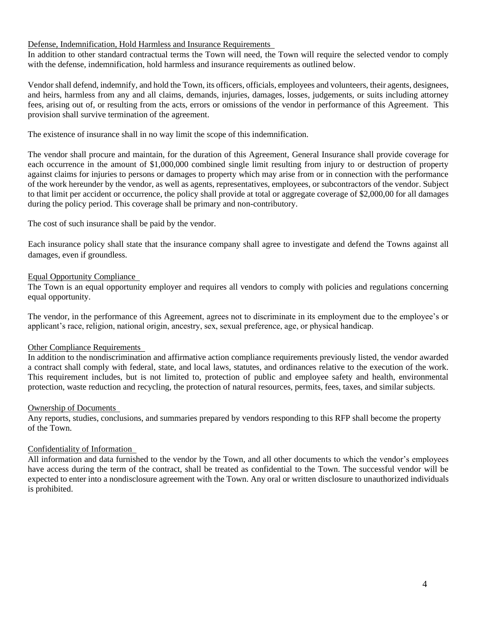#### Defense, Indemnification, Hold Harmless and Insurance Requirements

In addition to other standard contractual terms the Town will need, the Town will require the selected vendor to comply with the defense, indemnification, hold harmless and insurance requirements as outlined below.

Vendor shall defend, indemnify, and hold the Town, its officers, officials, employees and volunteers, their agents, designees, and heirs, harmless from any and all claims, demands, injuries, damages, losses, judgements, or suits including attorney fees, arising out of, or resulting from the acts, errors or omissions of the vendor in performance of this Agreement. This provision shall survive termination of the agreement.

The existence of insurance shall in no way limit the scope of this indemnification.

The vendor shall procure and maintain, for the duration of this Agreement, General Insurance shall provide coverage for each occurrence in the amount of \$1,000,000 combined single limit resulting from injury to or destruction of property against claims for injuries to persons or damages to property which may arise from or in connection with the performance of the work hereunder by the vendor, as well as agents, representatives, employees, or subcontractors of the vendor. Subject to that limit per accident or occurrence, the policy shall provide at total or aggregate coverage of \$2,000,00 for all damages during the policy period. This coverage shall be primary and non-contributory.

The cost of such insurance shall be paid by the vendor.

Each insurance policy shall state that the insurance company shall agree to investigate and defend the Towns against all damages, even if groundless.

# Equal Opportunity Compliance

The Town is an equal opportunity employer and requires all vendors to comply with policies and regulations concerning equal opportunity.

The vendor, in the performance of this Agreement, agrees not to discriminate in its employment due to the employee's or applicant's race, religion, national origin, ancestry, sex, sexual preference, age, or physical handicap.

# Other Compliance Requirements

In addition to the nondiscrimination and affirmative action compliance requirements previously listed, the vendor awarded a contract shall comply with federal, state, and local laws, statutes, and ordinances relative to the execution of the work. This requirement includes, but is not limited to, protection of public and employee safety and health, environmental protection, waste reduction and recycling, the protection of natural resources, permits, fees, taxes, and similar subjects.

#### Ownership of Documents

Any reports, studies, conclusions, and summaries prepared by vendors responding to this RFP shall become the property of the Town.

# Confidentiality of Information

All information and data furnished to the vendor by the Town, and all other documents to which the vendor's employees have access during the term of the contract, shall be treated as confidential to the Town. The successful vendor will be expected to enter into a nondisclosure agreement with the Town. Any oral or written disclosure to unauthorized individuals is prohibited.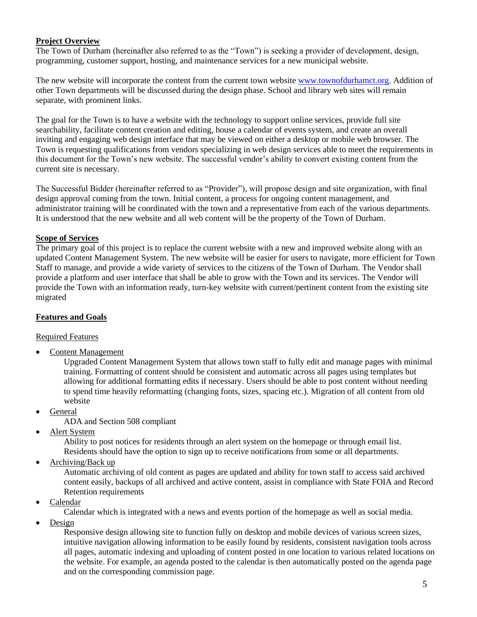# **Project Overview**

The Town of Durham (hereinafter also referred to as the "Town") is seeking a provider of development, design, programming, customer support, hosting, and maintenance services for a new municipal website.

The new website will incorporate the content from the current town websit[e www.townofdurhamct.org.](http://www.townofdurhamct.org/) Addition of other Town departments will be discussed during the design phase. School and library web sites will remain separate, with prominent links.

The goal for the Town is to have a website with the technology to support online services, provide full site searchability, facilitate content creation and editing, house a calendar of events system, and create an overall inviting and engaging web design interface that may be viewed on either a desktop or mobile web browser. The Town is requesting qualifications from vendors specializing in web design services able to meet the requirements in this document for the Town's new website. The successful vendor's ability to convert existing content from the current site is necessary.

The Successful Bidder (hereinafter referred to as "Provider"), will propose design and site organization, with final design approval coming from the town. Initial content, a process for ongoing content management, and administrator training will be coordinated with the town and a representative from each of the various departments. It is understood that the new website and all web content will be the property of the Town of Durham.

### **Scope of Services**

The primary goal of this project is to replace the current website with a new and improved website along with an updated Content Management System. The new website will be easier for users to navigate, more efficient for Town Staff to manage, and provide a wide variety of services to the citizens of the Town of Durham. The Vendor shall provide a platform and user interface that shall be able to grow with the Town and its services. The Vendor will provide the Town with an information ready, turn-key website with current/pertinent content from the existing site migrated

# **Features and Goals**

#### Required Features

• Content Management

Upgraded Content Management System that allows town staff to fully edit and manage pages with minimal training. Formatting of content should be consistent and automatic across all pages using templates but allowing for additional formatting edits if necessary. Users should be able to post content without needing to spend time heavily reformatting (changing fonts, sizes, spacing etc.). Migration of all content from old website

- General
	- ADA and Section 508 compliant
- Alert System

Ability to post notices for residents through an alert system on the homepage or through email list. Residents should have the option to sign up to receive notifications from some or all departments.

• Archiving/Back up

Automatic archiving of old content as pages are updated and ability for town staff to access said archived content easily, backups of all archived and active content, assist in compliance with State FOIA and Record Retention requirements

• Calendar

Calendar which is integrated with a news and events portion of the homepage as well as social media.

• Design

Responsive design allowing site to function fully on desktop and mobile devices of various screen sizes, intuitive navigation allowing information to be easily found by residents, consistent navigation tools across all pages, automatic indexing and uploading of content posted in one location to various related locations on the website. For example, an agenda posted to the calendar is then automatically posted on the agenda page and on the corresponding commission page.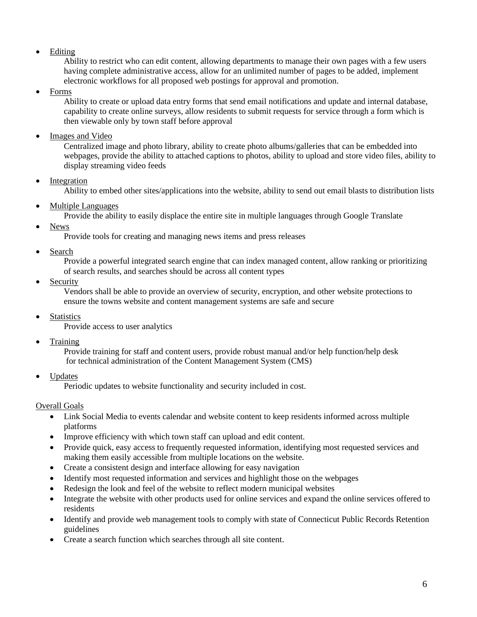**Editing** 

Ability to restrict who can edit content, allowing departments to manage their own pages with a few users having complete administrative access, allow for an unlimited number of pages to be added, implement electronic workflows for all proposed web postings for approval and promotion.

• Forms

Ability to create or upload data entry forms that send email notifications and update and internal database, capability to create online surveys, allow residents to submit requests for service through a form which is then viewable only by town staff before approval

Images and Video

Centralized image and photo library, ability to create photo albums/galleries that can be embedded into webpages, provide the ability to attached captions to photos, ability to upload and store video files, ability to display streaming video feeds

**Integration** 

Ability to embed other sites/applications into the website, ability to send out email blasts to distribution lists

• Multiple Languages

Provide the ability to easily displace the entire site in multiple languages through Google Translate

News

Provide tools for creating and managing news items and press releases

Search

Provide a powerful integrated search engine that can index managed content, allow ranking or prioritizing of search results, and searches should be across all content types

**Security** 

Vendors shall be able to provide an overview of security, encryption, and other website protections to ensure the towns website and content management systems are safe and secure

**Statistics** 

Provide access to user analytics

**Training** 

Provide training for staff and content users, provide robust manual and/or help function/help desk for technical administration of the Content Management System (CMS)

• Updates

Periodic updates to website functionality and security included in cost.

# Overall Goals

- Link Social Media to events calendar and website content to keep residents informed across multiple platforms
- Improve efficiency with which town staff can upload and edit content.
- Provide quick, easy access to frequently requested information, identifying most requested services and making them easily accessible from multiple locations on the website.
- Create a consistent design and interface allowing for easy navigation
- Identify most requested information and services and highlight those on the webpages
- Redesign the look and feel of the website to reflect modern municipal websites
- Integrate the website with other products used for online services and expand the online services offered to residents
- Identify and provide web management tools to comply with state of Connecticut Public Records Retention guidelines
- Create a search function which searches through all site content.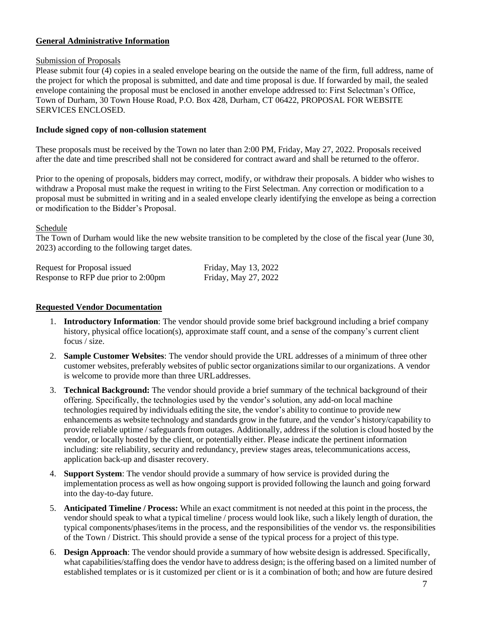# **General Administrative Information**

### Submission of Proposals

Please submit four (4) copies in a sealed envelope bearing on the outside the name of the firm, full address, name of the project for which the proposal is submitted, and date and time proposal is due. If forwarded by mail, the sealed envelope containing the proposal must be enclosed in another envelope addressed to: First Selectman's Office, Town of Durham, 30 Town House Road, P.O. Box 428, Durham, CT 06422, PROPOSAL FOR WEBSITE SERVICES ENCLOSED.

### **Include signed copy of non-collusion statement**

These proposals must be received by the Town no later than 2:00 PM, Friday, May 27, 2022. Proposals received after the date and time prescribed shall not be considered for contract award and shall be returned to the offeror.

Prior to the opening of proposals, bidders may correct, modify, or withdraw their proposals. A bidder who wishes to withdraw a Proposal must make the request in writing to the First Selectman. Any correction or modification to a proposal must be submitted in writing and in a sealed envelope clearly identifying the envelope as being a correction or modification to the Bidder's Proposal.

### Schedule

The Town of Durham would like the new website transition to be completed by the close of the fiscal year (June 30, 2023) according to the following target dates.

| Request for Proposal issued         | Friday, May 13, 2022 |
|-------------------------------------|----------------------|
| Response to RFP due prior to 2:00pm | Friday, May 27, 2022 |

### **Requested Vendor Documentation**

- 1. **Introductory Information**: The vendor should provide some brief background including a brief company history, physical office location(s), approximate staff count, and a sense of the company's current client focus / size.
- 2. **Sample Customer Websites**: The vendor should provide the URL addresses of a minimum of three other customer websites, preferably websites of public sector organizationssimilar to our organizations. A vendor is welcome to provide more than three URLaddresses.
- 3. **Technical Background:** The vendor should provide a brief summary of the technical background of their offering. Specifically, the technologies used by the vendor's solution, any add-on local machine technologies required by individuals editing the site, the vendor's ability to continue to provide new enhancements as website technology and standards grow in the future, and the vendor's history/capability to provide reliable uptime / safeguards from outages. Additionally, address if the solution is cloud hosted by the vendor, or locally hosted by the client, or potentially either. Please indicate the pertinent information including: site reliability, security and redundancy, preview stages areas, telecommunications access, application back-up and disaster recovery.
- 4. **Support System**: The vendor should provide a summary of how service is provided during the implementation process as well as how ongoing support is provided following the launch and going forward into the day-to-day future.
- 5. **Anticipated Timeline / Process:** While an exact commitment is not needed at this point in the process, the vendor should speak to what a typical timeline / process would look like, such a likely length of duration, the typical components/phases/items in the process, and the responsibilities of the vendor vs. the responsibilities of the Town / District. This should provide a sense of the typical process for a project of thistype.
- 6. **Design Approach**: The vendor should provide a summary of how website design is addressed. Specifically, what capabilities/staffing does the vendor have to address design; is the offering based on a limited number of established templates or is it customized per client or is it a combination of both; and how are future desired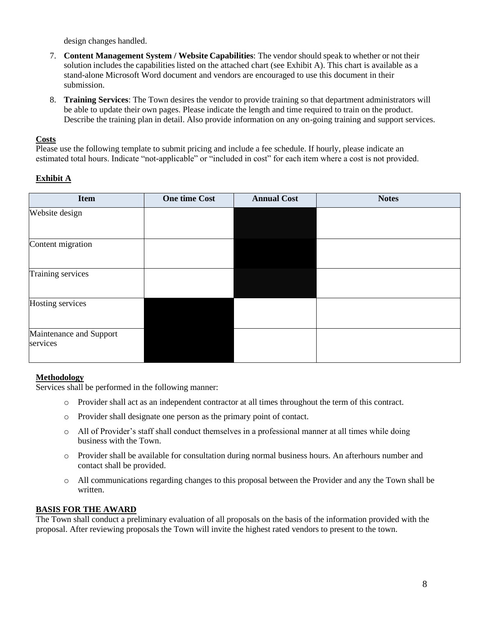design changes handled.

- 7. **Content Management System / Website Capabilities**: The vendor should speak to whether or not their solution includes the capabilities listed on the attached chart (see Exhibit A). This chart is available as a stand-alone Microsoft Word document and vendors are encouraged to use this document in their submission.
- 8. **Training Services**: The Town desires the vendor to provide training so that department administrators will be able to update their own pages. Please indicate the length and time required to train on the product. Describe the training plan in detail. Also provide information on any on-going training and support services.

# **Costs**

Please use the following template to submit pricing and include a fee schedule. If hourly, please indicate an estimated total hours. Indicate "not-applicable" or "included in cost" for each item where a cost is not provided.

# **Exhibit A**

| <b>Item</b>                         | <b>One time Cost</b> | <b>Annual Cost</b> | <b>Notes</b> |
|-------------------------------------|----------------------|--------------------|--------------|
| Website design                      |                      |                    |              |
| Content migration                   |                      |                    |              |
| Training services                   |                      |                    |              |
| Hosting services                    |                      |                    |              |
| Maintenance and Support<br>services |                      |                    |              |

# **Methodology**

Services shall be performed in the following manner:

- o Provider shall act as an independent contractor at all times throughout the term of this contract.
- o Provider shall designate one person as the primary point of contact.
- $\circ$  All of Provider's staff shall conduct themselves in a professional manner at all times while doing business with the Town.
- o Provider shall be available for consultation during normal business hours. An afterhours number and contact shall be provided.
- o All communications regarding changes to this proposal between the Provider and any the Town shall be written.

# **BASIS FOR THE AWARD**

The Town shall conduct a preliminary evaluation of all proposals on the basis of the information provided with the proposal. After reviewing proposals the Town will invite the highest rated vendors to present to the town.